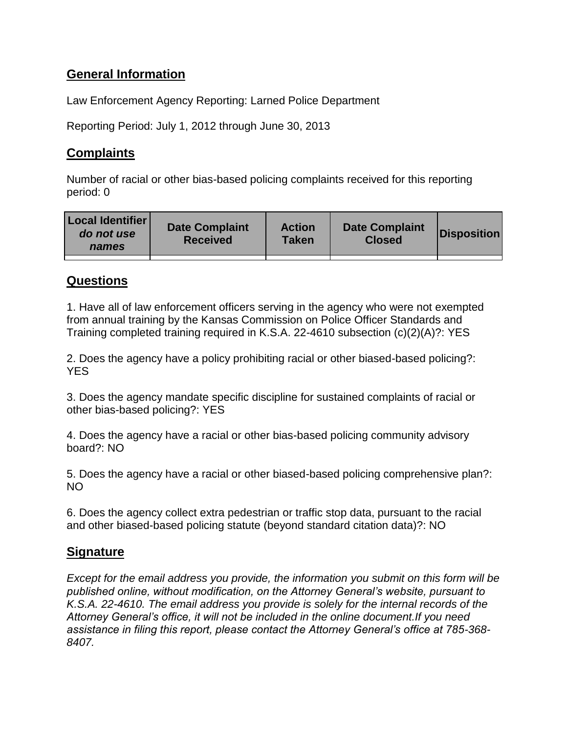## **General Information**

Law Enforcement Agency Reporting: Larned Police Department

Reporting Period: July 1, 2012 through June 30, 2013

## **Complaints**

Number of racial or other bias-based policing complaints received for this reporting period: 0

| <b>Local Identifier</b><br>do not use<br>names | <b>Date Complaint</b><br><b>Received</b> | <b>Action</b><br><b>Taken</b> | <b>Date Complaint</b><br><b>Closed</b> | <b>Disposition</b> |
|------------------------------------------------|------------------------------------------|-------------------------------|----------------------------------------|--------------------|
|                                                |                                          |                               |                                        |                    |

## **Questions**

1. Have all of law enforcement officers serving in the agency who were not exempted from annual training by the Kansas Commission on Police Officer Standards and Training completed training required in K.S.A. 22-4610 subsection (c)(2)(A)?: YES

2. Does the agency have a policy prohibiting racial or other biased-based policing?: **YES** 

3. Does the agency mandate specific discipline for sustained complaints of racial or other bias-based policing?: YES

4. Does the agency have a racial or other bias-based policing community advisory board?: NO

5. Does the agency have a racial or other biased-based policing comprehensive plan?: NO

6. Does the agency collect extra pedestrian or traffic stop data, pursuant to the racial and other biased-based policing statute (beyond standard citation data)?: NO

## **Signature**

*Except for the email address you provide, the information you submit on this form will be published online, without modification, on the Attorney General's website, pursuant to K.S.A. 22-4610. The email address you provide is solely for the internal records of the Attorney General's office, it will not be included in the online document.If you need assistance in filing this report, please contact the Attorney General's office at 785-368- 8407.*